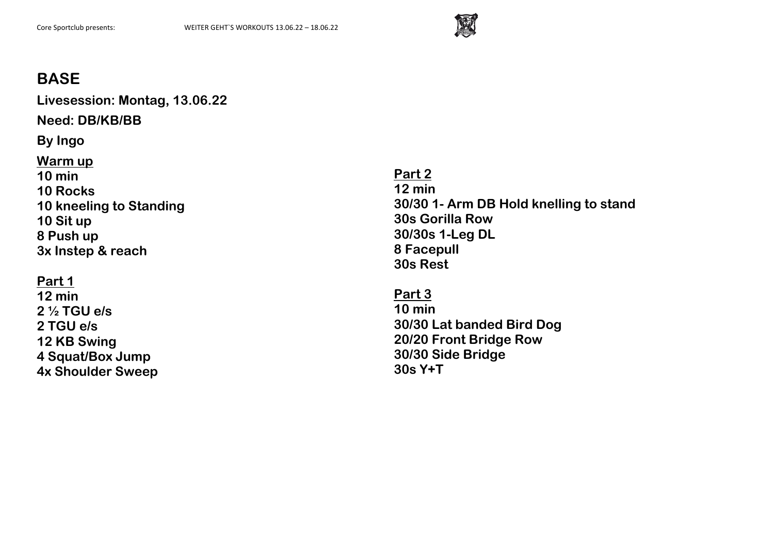

**Livesession: Montag, 13.06.22**

**Need: DB/KB/BB**

**By Ingo**

**Warm up 10 min 10 Rocks 10 kneeling to Standing 10 Sit up 8 Push up 3x Instep & reach**

## **Part 1**

**12 min 2 ½ TGU e/s 2 TGU e/s 12 KB Swing 4 Squat/Box Jump 4x Shoulder Sweep** **Part 2 12 min 30/30 1- Arm DB Hold knelling to stand 30s Gorilla Row 30/30s 1-Leg DL 8 Facepull 30s Rest**

**Part 3 10 min 30/30 Lat banded Bird Dog 20/20 Front Bridge Row 30/30 Side Bridge 30s Y+T**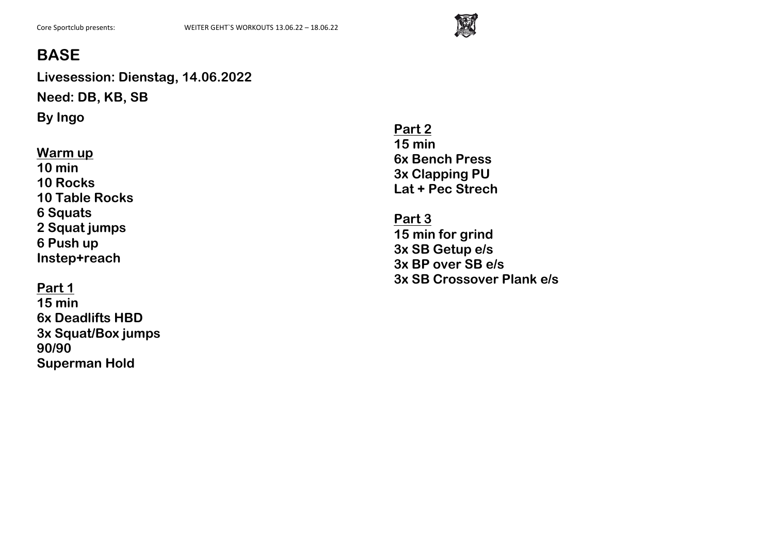

**Livesession: Dienstag, 14.06.2022 Need: DB, KB, SB By Ingo**

#### **Warm up**

**10 min 10 Rocks 10 Table Rocks 6 Squats 2 Squat jumps 6 Push up Instep+reach**

### **Part 1**

**15 min 6x Deadlifts HBD 3x Squat/Box jumps 90/90 Superman Hold**

**Part 2 15 min 6x Bench Press 3x Clapping PU Lat + Pec Strech**

**Part 3 15 min for grind 3x SB Getup e/s 3x BP over SB e/s 3x SB Crossover Plank e/s**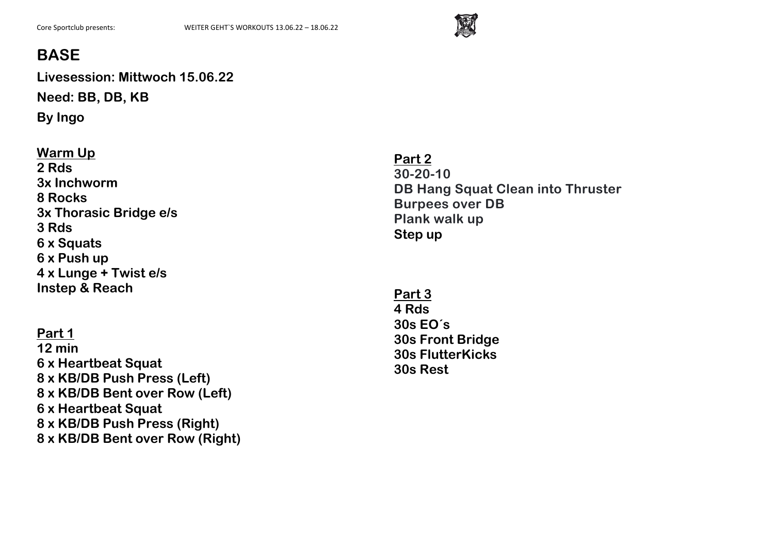

**Livesession: Mittwoch 15.06.22 Need: BB, DB, KB**

**By Ingo**

## **Warm Up 2 Rds 3x Inchworm 8 Rocks 3x Thorasic Bridge e/s 3 Rds 6 x Squats 6 x Push up 4 x Lunge + Twist e/s Instep & Reach**

**Part 1 12 min 6 x Heartbeat Squat 8 x KB/DB Push Press (Left) 8 x KB/DB Bent over Row (Left) 6 x Heartbeat Squat 8 x KB/DB Push Press (Right) 8 x KB/DB Bent over Row (Right)** **Part 2 30-20-10 DB Hang Squat Clean into Thruster Burpees over DB Plank walk up Step up**

**Part 3 4 Rds 30s EO´s 30s Front Bridge 30s FlutterKicks 30s Rest**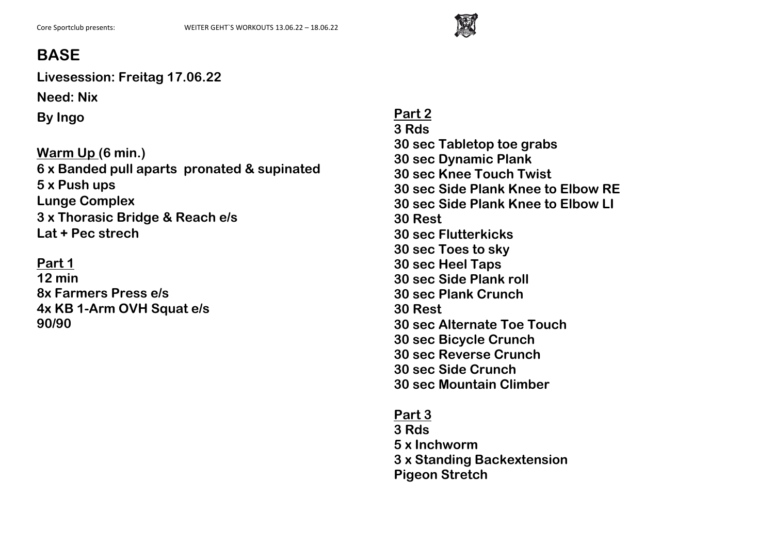

**Livesession: Freitag 17.06.22**

**Need: Nix**

**By Ingo**

**Warm Up (6 min.) 6 x Banded pull aparts pronated & supinated 5 x Push ups Lunge Complex 3 x Thorasic Bridge & Reach e/s Lat + Pec strech**

**Part 1 12 min 8x Farmers Press e/s 4x KB 1-Arm OVH Squat e/s 90/90**

**Part 2 3 Rds 30 sec Tabletop toe grabs 30 sec Dynamic Plank 30 sec Knee Touch Twist 30 sec Side Plank Knee to Elbow RE 30 sec Side Plank Knee to Elbow LI 30 Rest 30 sec Flutterkicks 30 sec Toes to sky 30 sec Heel Taps 30 sec Side Plank roll 30 sec Plank Crunch 30 Rest 30 sec Alternate Toe Touch 30 sec Bicycle Crunch 30 sec Reverse Crunch 30 sec Side Crunch 30 sec Mountain Climber**

**Part 3 3 Rds 5 x Inchworm 3 x Standing Backextension Pigeon Stretch**